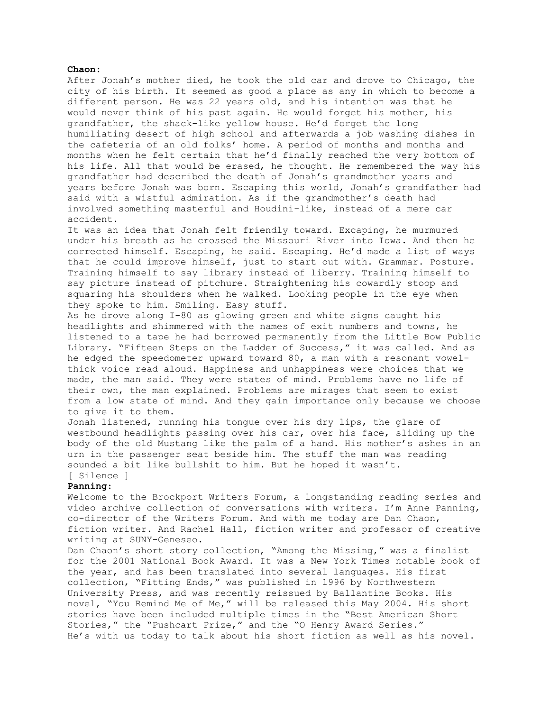## **Chaon**:

After Jonah's mother died, he took the old car and drove to Chicago, the city of his birth. It seemed as good a place as any in which to become a different person. He was 22 years old, and his intention was that he would never think of his past again. He would forget his mother, his grandfather, the shack-like yellow house. He'd forget the long humiliating desert of high school and afterwards a job washing dishes in the cafeteria of an old folks' home. A period of months and months and months when he felt certain that he'd finally reached the very bottom of his life. All that would be erased, he thought. He remembered the way his grandfather had described the death of Jonah's grandmother years and years before Jonah was born. Escaping this world, Jonah's grandfather had said with a wistful admiration. As if the grandmother's death had involved something masterful and Houdini-like, instead of a mere car accident.

It was an idea that Jonah felt friendly toward. Excaping, he murmured under his breath as he crossed the Missouri River into Iowa. And then he corrected himself. Escaping, he said. Escaping. He'd made a list of ways that he could improve himself, just to start out with. Grammar. Posture. Training himself to say library instead of liberry. Training himself to say picture instead of pitchure. Straightening his cowardly stoop and squaring his shoulders when he walked. Looking people in the eye when they spoke to him. Smiling. Easy stuff.

As he drove along I-80 as glowing green and white signs caught his headlights and shimmered with the names of exit numbers and towns, he listened to a tape he had borrowed permanently from the Little Bow Public Library. "Fifteen Steps on the Ladder of Success," it was called. And as he edged the speedometer upward toward 80, a man with a resonant vowelthick voice read aloud. Happiness and unhappiness were choices that we made, the man said. They were states of mind. Problems have no life of their own, the man explained. Problems are mirages that seem to exist from a low state of mind. And they gain importance only because we choose to give it to them.

Jonah listened, running his tongue over his dry lips, the glare of westbound headlights passing over his car, over his face, sliding up the body of the old Mustang like the palm of a hand. His mother's ashes in an urn in the passenger seat beside him. The stuff the man was reading sounded a bit like bullshit to him. But he hoped it wasn't.

# [ Silence ]

# **Panning**:

Welcome to the Brockport Writers Forum, a longstanding reading series and video archive collection of conversations with writers. I'm Anne Panning, co-director of the Writers Forum. And with me today are Dan Chaon, fiction writer. And Rachel Hall, fiction writer and professor of creative writing at SUNY-Geneseo.

Dan Chaon's short story collection, "Among the Missing," was a finalist for the 2001 National Book Award. It was a New York Times notable book of the year, and has been translated into several languages. His first collection, "Fitting Ends," was published in 1996 by Northwestern University Press, and was recently reissued by Ballantine Books. His novel, "You Remind Me of Me," will be released this May 2004. His short stories have been included multiple times in the "Best American Short Stories," the "Pushcart Prize," and the "O Henry Award Series." He's with us today to talk about his short fiction as well as his novel.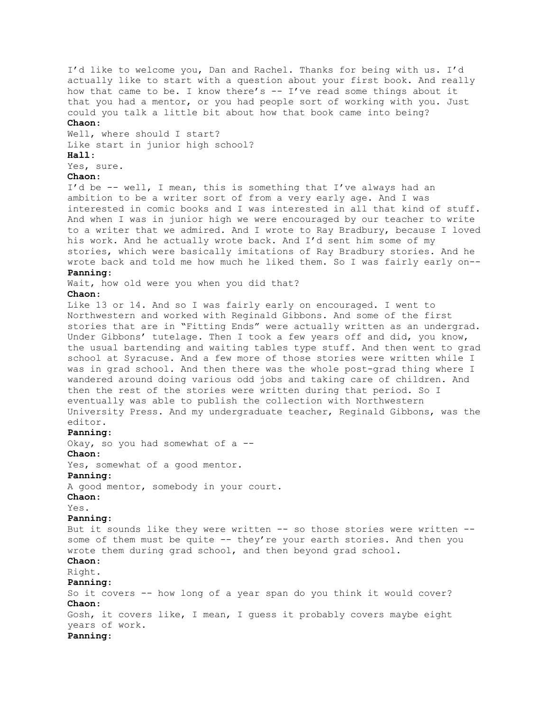I'd like to welcome you, Dan and Rachel. Thanks for being with us. I'd actually like to start with a question about your first book. And really how that came to be. I know there's  $-$  I've read some things about it that you had a mentor, or you had people sort of working with you. Just could you talk a little bit about how that book came into being?

## **Chaon**:

Well, where should I start? Like start in junior high school?

# **Hall**:

Yes, sure.

# **Chaon**:

I'd be -- well, I mean, this is something that I've always had an ambition to be a writer sort of from a very early age. And I was interested in comic books and I was interested in all that kind of stuff. And when I was in junior high we were encouraged by our teacher to write to a writer that we admired. And I wrote to Ray Bradbury, because I loved his work. And he actually wrote back. And I'd sent him some of my stories, which were basically imitations of Ray Bradbury stories. And he wrote back and told me how much he liked them. So I was fairly early on-- **Panning**:

Wait, how old were you when you did that?

# **Chaon**:

Like 13 or 14. And so I was fairly early on encouraged. I went to Northwestern and worked with Reginald Gibbons. And some of the first stories that are in "Fitting Ends" were actually written as an undergrad. Under Gibbons' tutelage. Then I took a few years off and did, you know, the usual bartending and waiting tables type stuff. And then went to grad school at Syracuse. And a few more of those stories were written while I was in grad school. And then there was the whole post-grad thing where I wandered around doing various odd jobs and taking care of children. And then the rest of the stories were written during that period. So I eventually was able to publish the collection with Northwestern University Press. And my undergraduate teacher, Reginald Gibbons, was the editor.

## **Panning**:

Okay, so you had somewhat of a --**Chaon**: Yes, somewhat of a good mentor. **Panning**: A good mentor, somebody in your court. **Chaon**: Yes. **Panning**: But it sounds like they were written -- so those stories were written - some of them must be quite -- they're your earth stories. And then you wrote them during grad school, and then beyond grad school. **Chaon**: Right. **Panning**: So it covers -- how long of a year span do you think it would cover? **Chaon**: Gosh, it covers like, I mean, I guess it probably covers maybe eight years of work.

## **Panning**: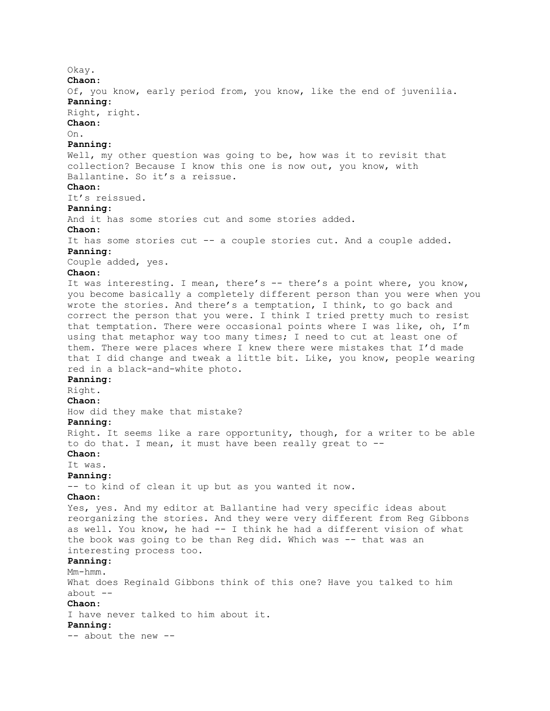Okay. **Chaon**: Of, you know, early period from, you know, like the end of juvenilia. **Panning**: Right, right. **Chaon**: On. **Panning**: Well, my other question was going to be, how was it to revisit that collection? Because I know this one is now out, you know, with Ballantine. So it's a reissue. **Chaon**: It's reissued. **Panning**: And it has some stories cut and some stories added. **Chaon**: It has some stories cut -- a couple stories cut. And a couple added. **Panning**: Couple added, yes. **Chaon**: It was interesting. I mean, there's -- there's a point where, you know, you become basically a completely different person than you were when you wrote the stories. And there's a temptation, I think, to go back and correct the person that you were. I think I tried pretty much to resist that temptation. There were occasional points where I was like, oh, I'm using that metaphor way too many times; I need to cut at least one of them. There were places where I knew there were mistakes that I'd made that I did change and tweak a little bit. Like, you know, people wearing red in a black-and-white photo. **Panning**: Right. **Chaon**: How did they make that mistake? **Panning**: Right. It seems like a rare opportunity, though, for a writer to be able to do that. I mean, it must have been really great to -- **Chaon**: It was. **Panning**: -- to kind of clean it up but as you wanted it now. **Chaon**: Yes, yes. And my editor at Ballantine had very specific ideas about reorganizing the stories. And they were very different from Reg Gibbons as well. You know, he had -- I think he had a different vision of what the book was going to be than Reg did. Which was -- that was an interesting process too. **Panning**: Mm-hmm. What does Reginald Gibbons think of this one? Have you talked to him about  $--$ **Chaon**: I have never talked to him about it. **Panning**: -- about the new --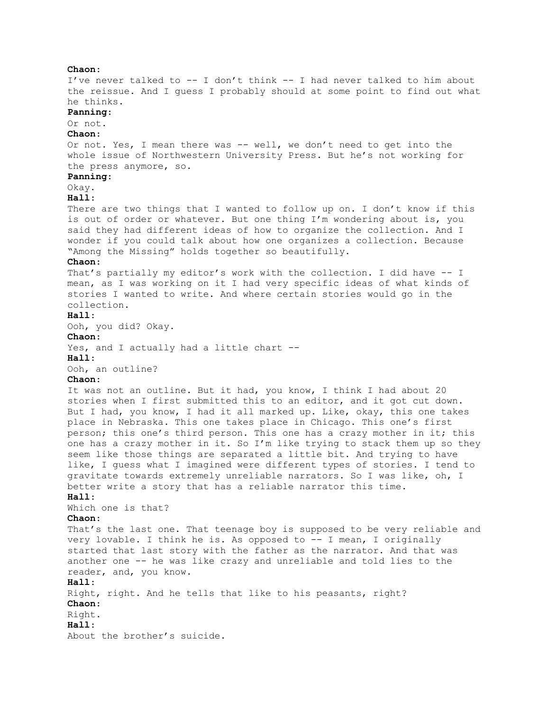**Chaon**: I've never talked to -- I don't think -- I had never talked to him about the reissue. And I guess I probably should at some point to find out what he thinks. **Panning**: Or not. **Chaon**: Or not. Yes, I mean there was -- well, we don't need to get into the whole issue of Northwestern University Press. But he's not working for the press anymore, so. **Panning**: Okay. **Hall**: There are two things that I wanted to follow up on. I don't know if this is out of order or whatever. But one thing I'm wondering about is, you said they had different ideas of how to organize the collection. And I wonder if you could talk about how one organizes a collection. Because "Among the Missing" holds together so beautifully. **Chaon**: That's partially my editor's work with the collection. I did have -- I mean, as I was working on it I had very specific ideas of what kinds of stories I wanted to write. And where certain stories would go in the collection. **Hall**: Ooh, you did? Okay. **Chaon**: Yes, and I actually had a little chart --**Hall**: Ooh, an outline? **Chaon**: It was not an outline. But it had, you know, I think I had about 20 stories when I first submitted this to an editor, and it got cut down. But I had, you know, I had it all marked up. Like, okay, this one takes place in Nebraska. This one takes place in Chicago. This one's first person; this one's third person. This one has a crazy mother in it; this one has a crazy mother in it. So I'm like trying to stack them up so they seem like those things are separated a little bit. And trying to have like, I guess what I imagined were different types of stories. I tend to gravitate towards extremely unreliable narrators. So I was like, oh, I better write a story that has a reliable narrator this time. **Hall**: Which one is that? **Chaon**: That's the last one. That teenage boy is supposed to be very reliable and very lovable. I think he is. As opposed to -- I mean, I originally started that last story with the father as the narrator. And that was another one -- he was like crazy and unreliable and told lies to the reader, and, you know. **Hall**: Right, right. And he tells that like to his peasants, right? **Chaon**: Right. **Hall**: About the brother's suicide.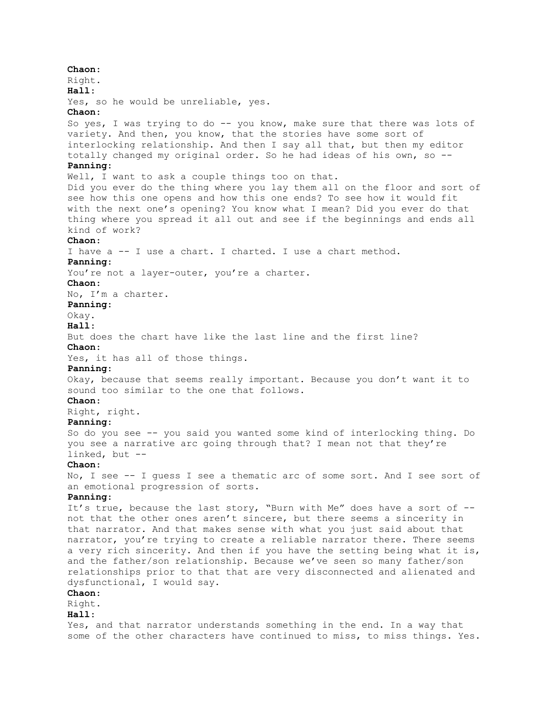**Chaon**: Right. **Hall**: Yes, so he would be unreliable, yes. **Chaon**: So yes, I was trying to do -- you know, make sure that there was lots of variety. And then, you know, that the stories have some sort of interlocking relationship. And then I say all that, but then my editor totally changed my original order. So he had ideas of his own, so -- **Panning**: Well, I want to ask a couple things too on that. Did you ever do the thing where you lay them all on the floor and sort of see how this one opens and how this one ends? To see how it would fit with the next one's opening? You know what I mean? Did you ever do that thing where you spread it all out and see if the beginnings and ends all kind of work? **Chaon**: I have a -- I use a chart. I charted. I use a chart method. **Panning**: You're not a layer-outer, you're a charter. **Chaon**: No, I'm a charter. **Panning**: Okay. **Hall**: But does the chart have like the last line and the first line? **Chaon**: Yes, it has all of those things. **Panning**: Okay, because that seems really important. Because you don't want it to sound too similar to the one that follows. **Chaon**: Right, right. **Panning**: So do you see -- you said you wanted some kind of interlocking thing. Do you see a narrative arc going through that? I mean not that they're linked, but -- **Chaon**: No, I see -- I guess I see a thematic arc of some sort. And I see sort of an emotional progression of sorts. **Panning**: It's true, because the last story, "Burn with Me" does have a sort of - not that the other ones aren't sincere, but there seems a sincerity in that narrator. And that makes sense with what you just said about that narrator, you're trying to create a reliable narrator there. There seems a very rich sincerity. And then if you have the setting being what it is, and the father/son relationship. Because we've seen so many father/son relationships prior to that that are very disconnected and alienated and dysfunctional, I would say. **Chaon**: Right. **Hall**: Yes, and that narrator understands something in the end. In a way that some of the other characters have continued to miss, to miss things. Yes.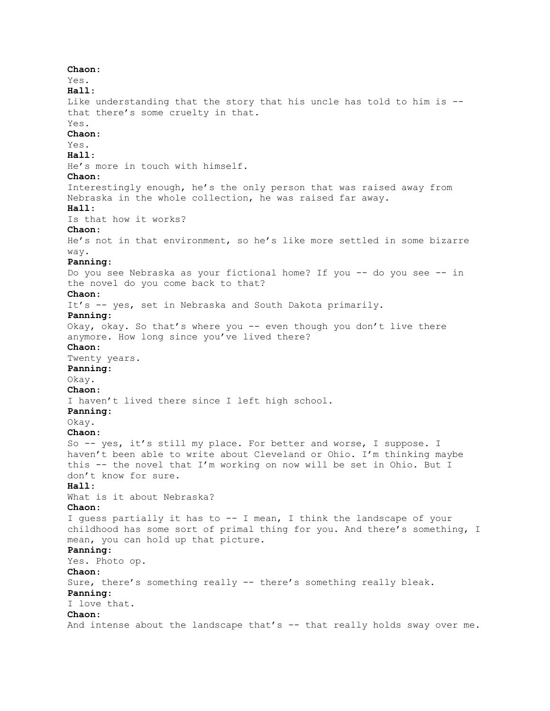**Chaon**: Yes. **Hall**: Like understanding that the story that his uncle has told to him is - that there's some cruelty in that. Yes. **Chaon**: Yes. **Hall**: He's more in touch with himself. **Chaon**: Interestingly enough, he's the only person that was raised away from Nebraska in the whole collection, he was raised far away. **Hall**: Is that how it works? **Chaon**: He's not in that environment, so he's like more settled in some bizarre way. **Panning**: Do you see Nebraska as your fictional home? If you -- do you see -- in the novel do you come back to that? **Chaon**: It's -- yes, set in Nebraska and South Dakota primarily. **Panning**: Okay, okay. So that's where you -- even though you don't live there anymore. How long since you've lived there? **Chaon**: Twenty years. **Panning**: Okay. **Chaon**: I haven't lived there since I left high school. **Panning**: Okay. **Chaon**: So -- yes, it's still my place. For better and worse, I suppose. I haven't been able to write about Cleveland or Ohio. I'm thinking maybe this -- the novel that I'm working on now will be set in Ohio. But I don't know for sure. **Hall**: What is it about Nebraska? **Chaon**: I guess partially it has to -- I mean, I think the landscape of your childhood has some sort of primal thing for you. And there's something, I mean, you can hold up that picture. **Panning**: Yes. Photo op. **Chaon**: Sure, there's something really -- there's something really bleak. **Panning**: I love that. **Chaon**: And intense about the landscape that's -- that really holds sway over me.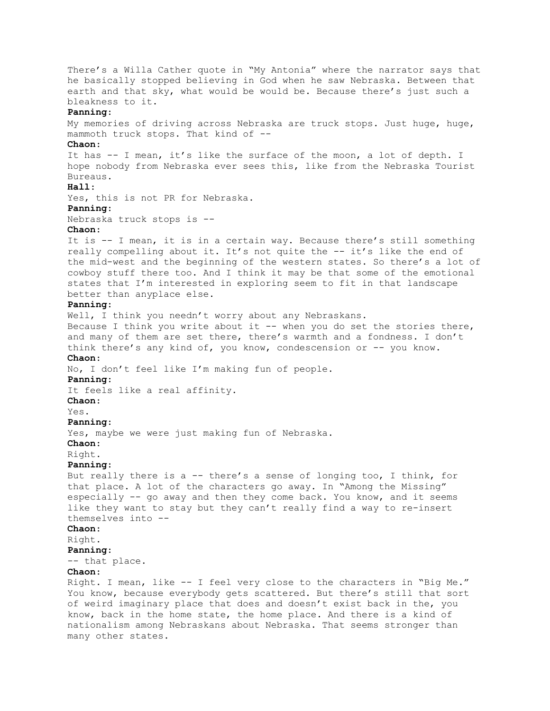There's a Willa Cather quote in "My Antonia" where the narrator says that he basically stopped believing in God when he saw Nebraska. Between that earth and that sky, what would be would be. Because there's just such a bleakness to it. **Panning**: My memories of driving across Nebraska are truck stops. Just huge, huge, mammoth truck stops. That kind of -- **Chaon**: It has -- I mean, it's like the surface of the moon, a lot of depth. I hope nobody from Nebraska ever sees this, like from the Nebraska Tourist Bureaus. **Hall**: Yes, this is not PR for Nebraska. **Panning**: Nebraska truck stops is -- **Chaon**: It is -- I mean, it is in a certain way. Because there's still something really compelling about it. It's not quite the -- it's like the end of the mid-west and the beginning of the western states. So there's a lot of cowboy stuff there too. And I think it may be that some of the emotional states that I'm interested in exploring seem to fit in that landscape better than anyplace else. **Panning**: Well, I think you needn't worry about any Nebraskans. Because I think you write about it -- when you do set the stories there, and many of them are set there, there's warmth and a fondness. I don't think there's any kind of, you know, condescension or -- you know. **Chaon**: No, I don't feel like I'm making fun of people. **Panning**: It feels like a real affinity. **Chaon**: Yes. **Panning**: Yes, maybe we were just making fun of Nebraska. **Chaon**: Right. **Panning**: But really there is a -- there's a sense of longing too, I think, for that place. A lot of the characters go away. In "Among the Missing" especially -- go away and then they come back. You know, and it seems like they want to stay but they can't really find a way to re-insert themselves into -- **Chaon**: Right. **Panning**: -- that place. **Chaon**: Right. I mean, like -- I feel very close to the characters in "Big Me." You know, because everybody gets scattered. But there's still that sort of weird imaginary place that does and doesn't exist back in the, you know, back in the home state, the home place. And there is a kind of nationalism among Nebraskans about Nebraska. That seems stronger than many other states.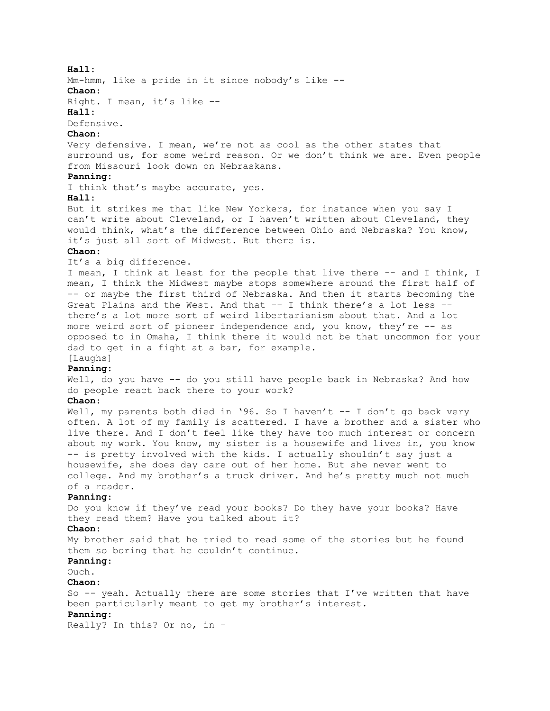## **Hall**:

Mm-hmm, like a pride in it since nobody's like -- **Chaon**:

Right. I mean, it's like --

## **Hall**:

Defensive.

## **Chaon**:

Very defensive. I mean, we're not as cool as the other states that surround us, for some weird reason. Or we don't think we are. Even people from Missouri look down on Nebraskans.

# **Panning**:

I think that's maybe accurate, yes.

# **Hall**:

But it strikes me that like New Yorkers, for instance when you say I can't write about Cleveland, or I haven't written about Cleveland, they would think, what's the difference between Ohio and Nebraska? You know, it's just all sort of Midwest. But there is.

# **Chaon**:

It's a big difference.

I mean, I think at least for the people that live there -- and I think, I mean, I think the Midwest maybe stops somewhere around the first half of -- or maybe the first third of Nebraska. And then it starts becoming the Great Plains and the West. And that -- I think there's a lot less - there's a lot more sort of weird libertarianism about that. And a lot more weird sort of pioneer independence and, you know, they're -- as opposed to in Omaha, I think there it would not be that uncommon for your dad to get in a fight at a bar, for example. [Laughs]

# **Panning**:

Well, do you have -- do you still have people back in Nebraska? And how do people react back there to your work?

# **Chaon**:

Well, my parents both died in '96. So I haven't  $-$ - I don't go back very often. A lot of my family is scattered. I have a brother and a sister who live there. And I don't feel like they have too much interest or concern about my work. You know, my sister is a housewife and lives in, you know -- is pretty involved with the kids. I actually shouldn't say just a housewife, she does day care out of her home. But she never went to college. And my brother's a truck driver. And he's pretty much not much of a reader.

#### **Panning**:

Do you know if they've read your books? Do they have your books? Have they read them? Have you talked about it?

## **Chaon**:

My brother said that he tried to read some of the stories but he found them so boring that he couldn't continue.

#### **Panning**:

Ouch.

#### **Chaon**:

So -- yeah. Actually there are some stories that I've written that have been particularly meant to get my brother's interest.

# **Panning**:

Really? In this? Or no, in –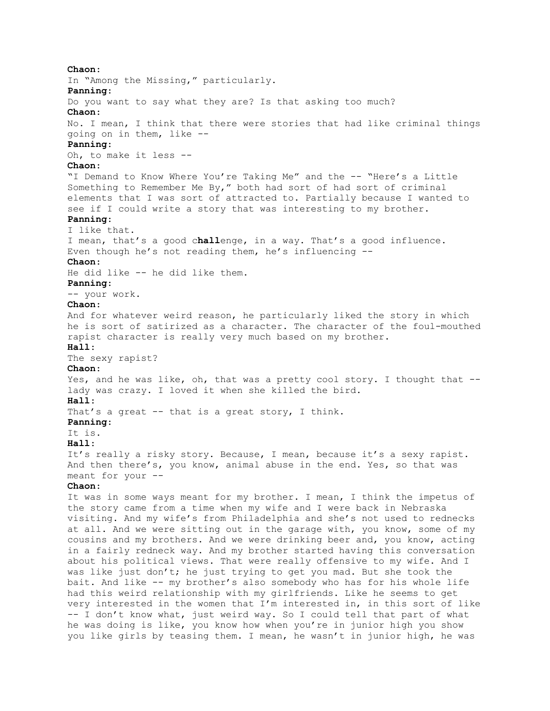**Chaon**: In "Among the Missing," particularly. **Panning**: Do you want to say what they are? Is that asking too much? **Chaon**: No. I mean, I think that there were stories that had like criminal things going on in them, like -- **Panning**: Oh, to make it less -- **Chaon**: "I Demand to Know Where You're Taking Me" and the -- "Here's a Little Something to Remember Me By," both had sort of had sort of criminal elements that I was sort of attracted to. Partially because I wanted to see if I could write a story that was interesting to my brother. **Panning**: I like that. I mean, that's a good c**hall**enge, in a way. That's a good influence. Even though he's not reading them, he's influencing -- **Chaon**: He did like -- he did like them. **Panning**: -- your work. **Chaon**: And for whatever weird reason, he particularly liked the story in which he is sort of satirized as a character. The character of the foul-mouthed rapist character is really very much based on my brother. **Hall**: The sexy rapist? **Chaon**: Yes, and he was like, oh, that was a pretty cool story. I thought that -lady was crazy. I loved it when she killed the bird. **Hall**: That's a great -- that is a great story, I think. **Panning**: It is. **Hall**: It's really a risky story. Because, I mean, because it's a sexy rapist. And then there's, you know, animal abuse in the end. Yes, so that was meant for your -- **Chaon**: It was in some ways meant for my brother. I mean, I think the impetus of the story came from a time when my wife and I were back in Nebraska visiting. And my wife's from Philadelphia and she's not used to rednecks at all. And we were sitting out in the garage with, you know, some of my cousins and my brothers. And we were drinking beer and, you know, acting in a fairly redneck way. And my brother started having this conversation about his political views. That were really offensive to my wife. And I was like just don't; he just trying to get you mad. But she took the bait. And like -- my brother's also somebody who has for his whole life had this weird relationship with my girlfriends. Like he seems to get very interested in the women that I'm interested in, in this sort of like -- I don't know what, just weird way. So I could tell that part of what he was doing is like, you know how when you're in junior high you show you like girls by teasing them. I mean, he wasn't in junior high, he was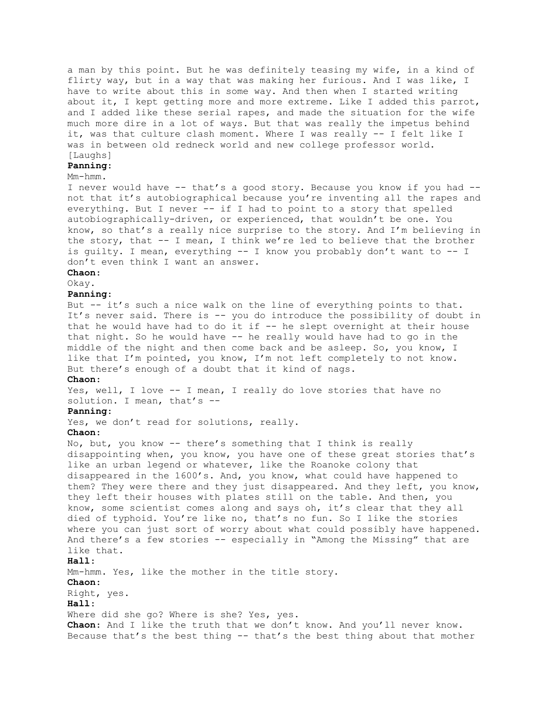a man by this point. But he was definitely teasing my wife, in a kind of flirty way, but in a way that was making her furious. And I was like, I have to write about this in some way. And then when I started writing about it, I kept getting more and more extreme. Like I added this parrot, and I added like these serial rapes, and made the situation for the wife much more dire in a lot of ways. But that was really the impetus behind it, was that culture clash moment. Where I was really -- I felt like I was in between old redneck world and new college professor world. [Laughs]

#### **Panning**:

## Mm-hmm.

I never would have -- that's a good story. Because you know if you had - not that it's autobiographical because you're inventing all the rapes and everything. But I never -- if I had to point to a story that spelled autobiographically-driven, or experienced, that wouldn't be one. You know, so that's a really nice surprise to the story. And I'm believing in the story, that  $-$ - I mean, I think we're led to believe that the brother is guilty. I mean, everything -- I know you probably don't want to -- I don't even think I want an answer.

# **Chaon**:

Okay.

#### **Panning**:

But -- it's such a nice walk on the line of everything points to that. It's never said. There is -- you do introduce the possibility of doubt in that he would have had to do it if  $-$  he slept overnight at their house that night. So he would have -- he really would have had to go in the middle of the night and then come back and be asleep. So, you know, I like that I'm pointed, you know, I'm not left completely to not know. But there's enough of a doubt that it kind of nags.

## **Chaon**:

Yes, well, I love -- I mean, I really do love stories that have no solution. I mean, that's --

#### **Panning**:

Yes, we don't read for solutions, really.

#### **Chaon**:

No, but, you know -- there's something that I think is really disappointing when, you know, you have one of these great stories that's like an urban legend or whatever, like the Roanoke colony that disappeared in the 1600's. And, you know, what could have happened to them? They were there and they just disappeared. And they left, you know, they left their houses with plates still on the table. And then, you know, some scientist comes along and says oh, it's clear that they all died of typhoid. You're like no, that's no fun. So I like the stories where you can just sort of worry about what could possibly have happened. And there's a few stories -- especially in "Among the Missing" that are like that. **Hall**:

Mm-hmm. Yes, like the mother in the title story.

## **Chaon**:

Right, yes.

#### **Hall**:

Where did she go? Where is she? Yes, yes. **Chaon**: And I like the truth that we don't know. And you'll never know.

Because that's the best thing -- that's the best thing about that mother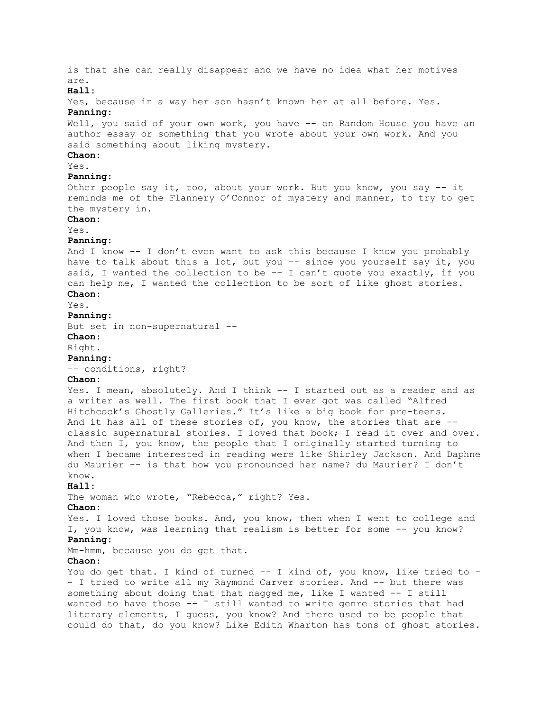is that she can really disappear and we have no idea what her motives are. **Hall**: Yes, because in a way her son hasn't known her at all before. Yes. **Panning**: Well, you said of your own work, you have -- on Random House you have an author essay or something that you wrote about your own work. And you said something about liking mystery. **Chaon**: Yes. **Panning**: Other people say it, too, about your work. But you know, you say -- it reminds me of the Flannery O'Connor of mystery and manner, to try to get the mystery in. **Chaon**: Yes. **Panning**: And I know -- I don't even want to ask this because I know you probably have to talk about this a lot, but you -- since you yourself say it, you said, I wanted the collection to be  $-$ - I can't quote you exactly, if you can help me, I wanted the collection to be sort of like ghost stories. **Chaon**: Yes. **Panning**: But set in non-supernatural -- **Chaon**: Right. **Panning**: -- conditions, right? **Chaon**: Yes. I mean, absolutely. And I think -- I started out as a reader and as a writer as well. The first book that I ever got was called "Alfred Hitchcock's Ghostly Galleries." It's like a big book for pre-teens. And it has all of these stories of, you know, the stories that are -classic supernatural stories. I loved that book; I read it over and over. And then I, you know, the people that I originally started turning to when I became interested in reading were like Shirley Jackson. And Daphne du Maurier -- is that how you pronounced her name? du Maurier? I don't know. **Hall**: The woman who wrote, "Rebecca," right? Yes. **Chaon**: Yes. I loved those books. And, you know, then when I went to college and I, you know, was learning that realism is better for some -- you know? **Panning**: Mm-hmm, because you do get that. **Chaon**: You do get that. I kind of turned -- I kind of, you know, like tried to -- I tried to write all my Raymond Carver stories. And -- but there was something about doing that that nagged me, like I wanted  $-$ - I still wanted to have those -- I still wanted to write genre stories that had literary elements, I guess, you know? And there used to be people that could do that, do you know? Like Edith Wharton has tons of ghost stories.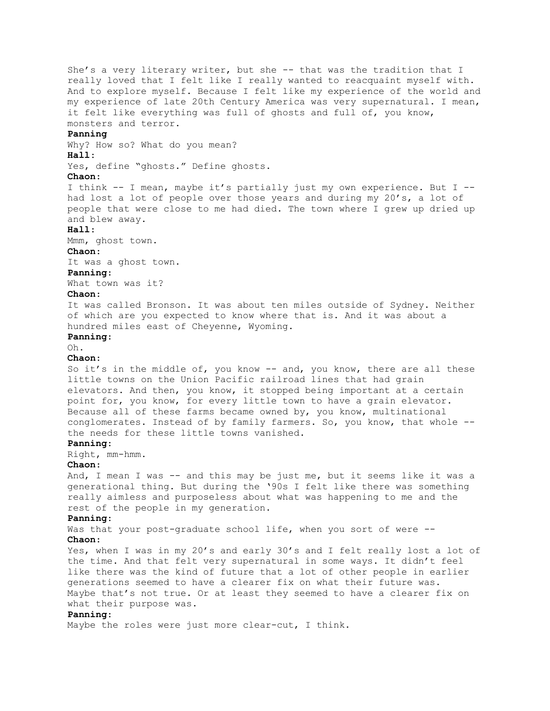She's a very literary writer, but she -- that was the tradition that I really loved that I felt like I really wanted to reacquaint myself with. And to explore myself. Because I felt like my experience of the world and my experience of late 20th Century America was very supernatural. I mean, it felt like everything was full of ghosts and full of, you know, monsters and terror. **Panning** Why? How so? What do you mean? **Hall**: Yes, define "ghosts." Define ghosts. **Chaon**: I think -- I mean, maybe it's partially just my own experience. But I - had lost a lot of people over those years and during my 20's, a lot of people that were close to me had died. The town where I grew up dried up and blew away. **Hall**: Mmm, ghost town. **Chaon**: It was a ghost town. **Panning**: What town was it? **Chaon**: It was called Bronson. It was about ten miles outside of Sydney. Neither of which are you expected to know where that is. And it was about a hundred miles east of Cheyenne, Wyoming. **Panning**: Oh. **Chaon**: So it's in the middle of, you know -- and, you know, there are all these little towns on the Union Pacific railroad lines that had grain elevators. And then, you know, it stopped being important at a certain point for, you know, for every little town to have a grain elevator. Because all of these farms became owned by, you know, multinational conglomerates. Instead of by family farmers. So, you know, that whole - the needs for these little towns vanished. **Panning**: Right, mm-hmm. **Chaon**: And, I mean I was -- and this may be just me, but it seems like it was a generational thing. But during the '90s I felt like there was something really aimless and purposeless about what was happening to me and the rest of the people in my generation. **Panning**: Was that your post-graduate school life, when you sort of were --**Chaon**: Yes, when I was in my 20's and early 30's and I felt really lost a lot of the time. And that felt very supernatural in some ways. It didn't feel like there was the kind of future that a lot of other people in earlier generations seemed to have a clearer fix on what their future was. Maybe that's not true. Or at least they seemed to have a clearer fix on what their purpose was. **Panning**: Maybe the roles were just more clear-cut, I think.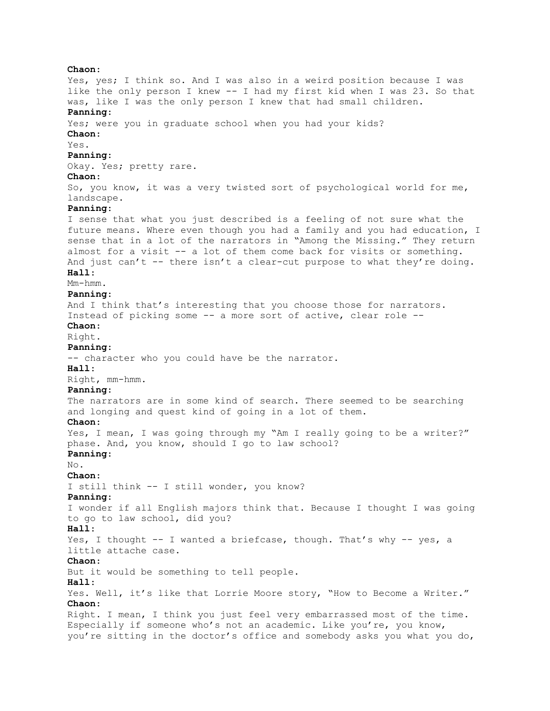**Chaon**: Yes, yes; I think so. And I was also in a weird position because I was like the only person I knew -- I had my first kid when I was 23. So that was, like I was the only person I knew that had small children. **Panning**: Yes; were you in graduate school when you had your kids? **Chaon**: Yes. **Panning**: Okay. Yes; pretty rare. **Chaon**: So, you know, it was a very twisted sort of psychological world for me, landscape. **Panning**: I sense that what you just described is a feeling of not sure what the future means. Where even though you had a family and you had education, I sense that in a lot of the narrators in "Among the Missing." They return almost for a visit -- a lot of them come back for visits or something. And just can't -- there isn't a clear-cut purpose to what they're doing. **Hall**: Mm-hmm. **Panning**: And I think that's interesting that you choose those for narrators. Instead of picking some -- a more sort of active, clear role -- **Chaon**: Right. **Panning**: -- character who you could have be the narrator. **Hall**: Right, mm-hmm. **Panning**: The narrators are in some kind of search. There seemed to be searching and longing and quest kind of going in a lot of them. **Chaon**: Yes, I mean, I was going through my "Am I really going to be a writer?" phase. And, you know, should I go to law school? **Panning**: No. **Chaon**: I still think -- I still wonder, you know? **Panning**: I wonder if all English majors think that. Because I thought I was going to go to law school, did you? **Hall**: Yes, I thought -- I wanted a briefcase, though. That's why -- yes, a little attache case. **Chaon**: But it would be something to tell people. **Hall**: Yes. Well, it's like that Lorrie Moore story, "How to Become a Writer." **Chaon**: Right. I mean, I think you just feel very embarrassed most of the time. Especially if someone who's not an academic. Like you're, you know, you're sitting in the doctor's office and somebody asks you what you do,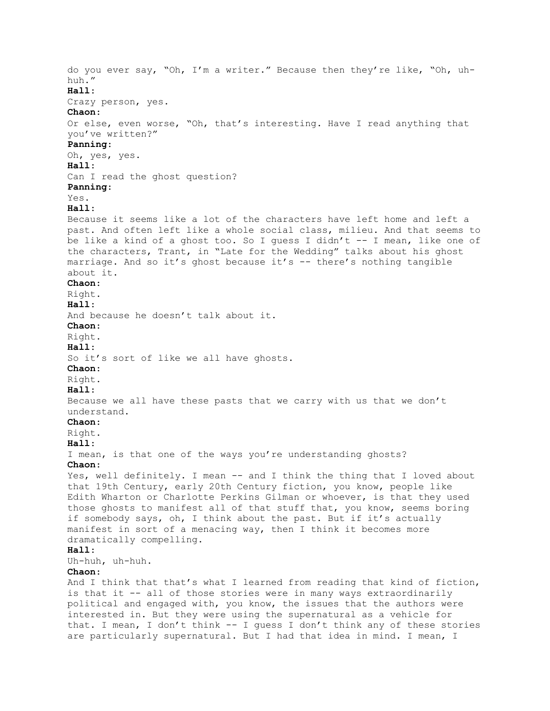do you ever say, "Oh, I'm a writer." Because then they're like, "Oh, uhhuh." **Hall**: Crazy person, yes. **Chaon**: Or else, even worse, "Oh, that's interesting. Have I read anything that you've written?" **Panning**: Oh, yes, yes. **Hall**: Can I read the ghost question? **Panning**: Yes. **Hall**: Because it seems like a lot of the characters have left home and left a past. And often left like a whole social class, milieu. And that seems to be like a kind of a ghost too. So I guess I didn't -- I mean, like one of the characters, Trant, in "Late for the Wedding" talks about his ghost marriage. And so it's ghost because it's -- there's nothing tangible about it. **Chaon**: Right. **Hall**: And because he doesn't talk about it. **Chaon**: Right. **Hall**: So it's sort of like we all have ghosts. **Chaon**: Right. **Hall**: Because we all have these pasts that we carry with us that we don't understand. **Chaon**: Right. **Hall**: I mean, is that one of the ways you're understanding ghosts? **Chaon**: Yes, well definitely. I mean -- and I think the thing that I loved about that 19th Century, early 20th Century fiction, you know, people like Edith Wharton or Charlotte Perkins Gilman or whoever, is that they used those ghosts to manifest all of that stuff that, you know, seems boring if somebody says, oh, I think about the past. But if it's actually manifest in sort of a menacing way, then I think it becomes more dramatically compelling. **Hall**: Uh-huh, uh-huh. **Chaon**: And I think that that's what I learned from reading that kind of fiction, is that it -- all of those stories were in many ways extraordinarily political and engaged with, you know, the issues that the authors were interested in. But they were using the supernatural as a vehicle for that. I mean, I don't think -- I guess I don't think any of these stories

are particularly supernatural. But I had that idea in mind. I mean, I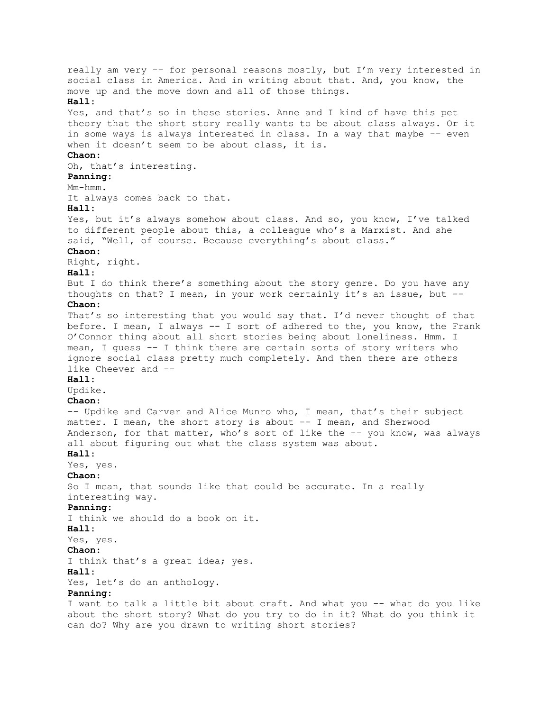really am very -- for personal reasons mostly, but I'm very interested in social class in America. And in writing about that. And, you know, the move up and the move down and all of those things. **Hall**: Yes, and that's so in these stories. Anne and I kind of have this pet theory that the short story really wants to be about class always. Or it in some ways is always interested in class. In a way that maybe -- even when it doesn't seem to be about class, it is. **Chaon**: Oh, that's interesting. **Panning**: Mm-hmm. It always comes back to that. **Hall**: Yes, but it's always somehow about class. And so, you know, I've talked to different people about this, a colleague who's a Marxist. And she said, "Well, of course. Because everything's about class." **Chaon**: Right, right. **Hall**: But I do think there's something about the story genre. Do you have any thoughts on that? I mean, in your work certainly it's an issue, but -- **Chaon**: That's so interesting that you would say that. I'd never thought of that before. I mean, I always -- I sort of adhered to the, you know, the Frank O'Connor thing about all short stories being about loneliness. Hmm. I mean, I guess -- I think there are certain sorts of story writers who ignore social class pretty much completely. And then there are others like Cheever and -- **Hall**: Updike. **Chaon**: -- Updike and Carver and Alice Munro who, I mean, that's their subject matter. I mean, the short story is about -- I mean, and Sherwood Anderson, for that matter, who's sort of like the -- you know, was always all about figuring out what the class system was about. **Hall**: Yes, yes. **Chaon**: So I mean, that sounds like that could be accurate. In a really interesting way. **Panning**: I think we should do a book on it. **Hall**: Yes, yes. **Chaon**: I think that's a great idea; yes. **Hall**: Yes, let's do an anthology. **Panning**: I want to talk a little bit about craft. And what you -- what do you like about the short story? What do you try to do in it? What do you think it

can do? Why are you drawn to writing short stories?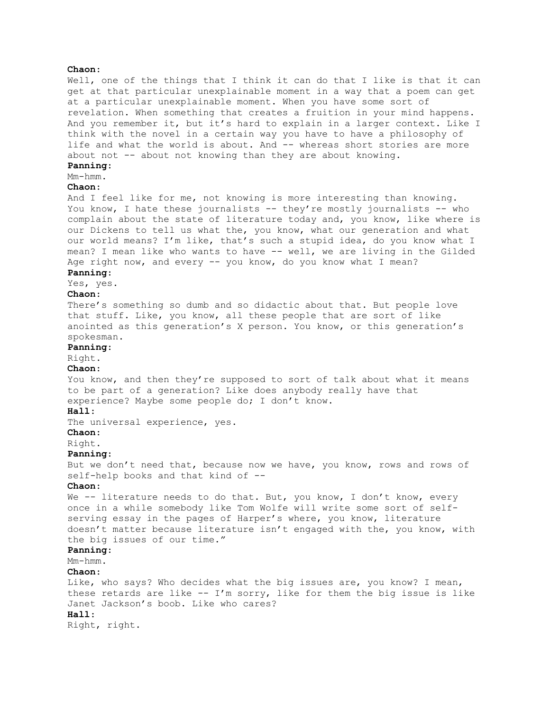## **Chaon**:

Well, one of the things that I think it can do that I like is that it can get at that particular unexplainable moment in a way that a poem can get at a particular unexplainable moment. When you have some sort of revelation. When something that creates a fruition in your mind happens. And you remember it, but it's hard to explain in a larger context. Like I think with the novel in a certain way you have to have a philosophy of life and what the world is about. And -- whereas short stories are more about not -- about not knowing than they are about knowing.

# **Panning**:

# Mm-hmm.

**Chaon**:

And I feel like for me, not knowing is more interesting than knowing. You know, I hate these journalists -- they're mostly journalists -- who complain about the state of literature today and, you know, like where is our Dickens to tell us what the, you know, what our generation and what our world means? I'm like, that's such a stupid idea, do you know what I mean? I mean like who wants to have -- well, we are living in the Gilded Age right now, and every -- you know, do you know what I mean?

# **Panning**:

Yes, yes.

# **Chaon**:

There's something so dumb and so didactic about that. But people love that stuff. Like, you know, all these people that are sort of like anointed as this generation's X person. You know, or this generation's spokesman.

## **Panning**:

Right.

#### **Chaon**:

You know, and then they're supposed to sort of talk about what it means to be part of a generation? Like does anybody really have that experience? Maybe some people do; I don't know.

#### **Hall**:

The universal experience, yes.

#### **Chaon**:

Right.

#### **Panning**:

But we don't need that, because now we have, you know, rows and rows of self-help books and that kind of --

#### **Chaon**:

We -- literature needs to do that. But, you know, I don't know, every once in a while somebody like Tom Wolfe will write some sort of selfserving essay in the pages of Harper's where, you know, literature doesn't matter because literature isn't engaged with the, you know, with the big issues of our time."

## **Panning**:

Mm-hmm.

#### **Chaon**:

Like, who says? Who decides what the big issues are, you know? I mean, these retards are like  $--$  I'm sorry, like for them the big issue is like Janet Jackson's boob. Like who cares? **Hall**:

Right, right.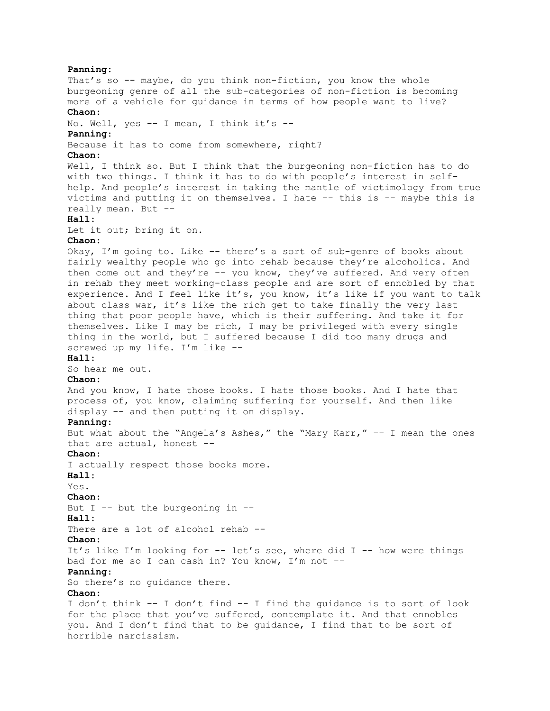**Panning**: That's so -- maybe, do you think non-fiction, you know the whole burgeoning genre of all the sub-categories of non-fiction is becoming more of a vehicle for guidance in terms of how people want to live? **Chaon**: No. Well, yes -- I mean, I think it's -- **Panning**: Because it has to come from somewhere, right? **Chaon**: Well, I think so. But I think that the burgeoning non-fiction has to do with two things. I think it has to do with people's interest in selfhelp. And people's interest in taking the mantle of victimology from true victims and putting it on themselves. I hate -- this is -- maybe this is really mean. But -- **Hall**: Let it out; bring it on. **Chaon**: Okay, I'm going to. Like -- there's a sort of sub-genre of books about fairly wealthy people who go into rehab because they're alcoholics. And then come out and they're -- you know, they've suffered. And very often in rehab they meet working-class people and are sort of ennobled by that experience. And I feel like it's, you know, it's like if you want to talk about class war, it's like the rich get to take finally the very last thing that poor people have, which is their suffering. And take it for themselves. Like I may be rich, I may be privileged with every single thing in the world, but I suffered because I did too many drugs and screwed up my life. I'm like -- **Hall**: So hear me out. **Chaon**: And you know, I hate those books. I hate those books. And I hate that process of, you know, claiming suffering for yourself. And then like display -- and then putting it on display. **Panning**: But what about the "Angela's Ashes," the "Mary Karr," -- I mean the ones that are actual, honest -- **Chaon**: I actually respect those books more. **Hall**: Yes. **Chaon**: But I -- but the burgeoning in -- **Hall**: There are a lot of alcohol rehab --**Chaon**: It's like I'm looking for -- let's see, where did I -- how were things bad for me so I can cash in? You know, I'm not -- **Panning**: So there's no guidance there. **Chaon**: I don't think -- I don't find -- I find the guidance is to sort of look for the place that you've suffered, contemplate it. And that ennobles you. And I don't find that to be guidance, I find that to be sort of horrible narcissism.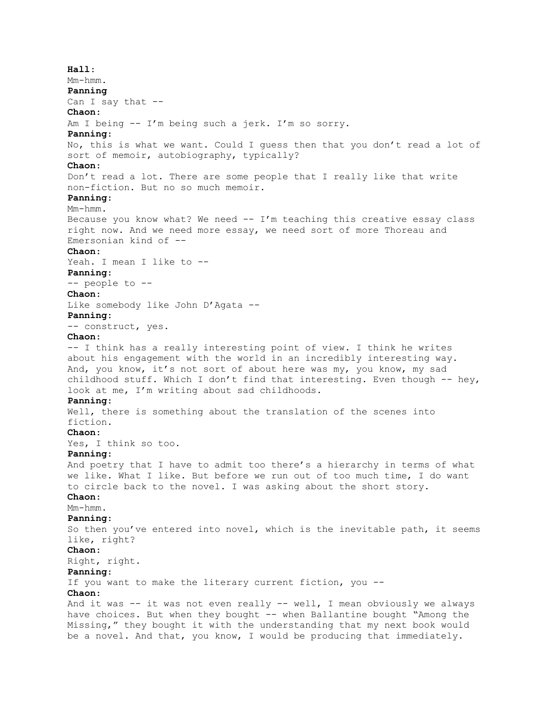**Hall**: Mm-hmm. **Panning** Can I say that --**Chaon**: Am I being -- I'm being such a jerk. I'm so sorry. **Panning**: No, this is what we want. Could I guess then that you don't read a lot of sort of memoir, autobiography, typically? **Chaon**: Don't read a lot. There are some people that I really like that write non-fiction. But no so much memoir. **Panning**: Mm-hmm. Because you know what? We need  $-- I'm$  teaching this creative essay class right now. And we need more essay, we need sort of more Thoreau and Emersonian kind of -- **Chaon**: Yeah. I mean I like to -- **Panning**: -- people to -- **Chaon**: Like somebody like John D'Agata -- **Panning**: -- construct, yes. **Chaon**: -- I think has a really interesting point of view. I think he writes about his engagement with the world in an incredibly interesting way. And, you know, it's not sort of about here was my, you know, my sad childhood stuff. Which I don't find that interesting. Even though -- hey, look at me, I'm writing about sad childhoods. **Panning**: Well, there is something about the translation of the scenes into fiction. **Chaon**: Yes, I think so too. **Panning**: And poetry that I have to admit too there's a hierarchy in terms of what we like. What I like. But before we run out of too much time, I do want to circle back to the novel. I was asking about the short story. **Chaon**: Mm-hmm. **Panning**: So then you've entered into novel, which is the inevitable path, it seems like, right? **Chaon**: Right, right. **Panning**: If you want to make the literary current fiction, you -- **Chaon**: And it was  $-$  it was not even really  $-$  well, I mean obviously we always have choices. But when they bought -- when Ballantine bought "Among the Missing," they bought it with the understanding that my next book would be a novel. And that, you know, I would be producing that immediately.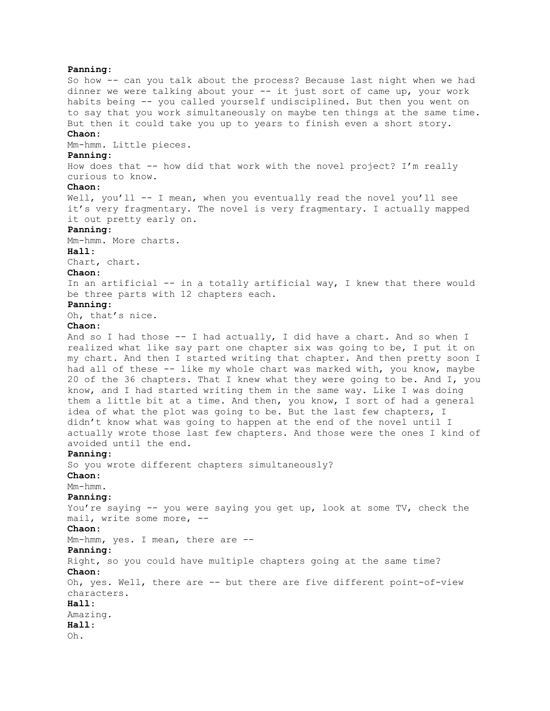**Panning**: So how -- can you talk about the process? Because last night when we had dinner we were talking about your -- it just sort of came up, your work habits being -- you called yourself undisciplined. But then you went on to say that you work simultaneously on maybe ten things at the same time. But then it could take you up to years to finish even a short story. **Chaon**: Mm-hmm. Little pieces. **Panning**: How does that -- how did that work with the novel project? I'm really curious to know. **Chaon**: Well, you'll -- I mean, when you eventually read the novel you'll see it's very fragmentary. The novel is very fragmentary. I actually mapped it out pretty early on. **Panning**: Mm-hmm. More charts. **Hall**: Chart, chart. **Chaon**: In an artificial -- in a totally artificial way, I knew that there would be three parts with 12 chapters each. **Panning**: Oh, that's nice. **Chaon**: And so I had those -- I had actually, I did have a chart. And so when I realized what like say part one chapter six was going to be, I put it on my chart. And then I started writing that chapter. And then pretty soon I had all of these -- like my whole chart was marked with, you know, maybe 20 of the 36 chapters. That I knew what they were going to be. And I, you know, and I had started writing them in the same way. Like I was doing them a little bit at a time. And then, you know, I sort of had a general idea of what the plot was going to be. But the last few chapters, I didn't know what was going to happen at the end of the novel until I actually wrote those last few chapters. And those were the ones I kind of avoided until the end. **Panning**: So you wrote different chapters simultaneously? **Chaon**: Mm-hmm. **Panning**: You're saying -- you were saying you get up, look at some TV, check the mail, write some more, -- **Chaon**: Mm-hmm, yes. I mean, there are -- **Panning**: Right, so you could have multiple chapters going at the same time? **Chaon**: Oh, yes. Well, there are -- but there are five different point-of-view characters. **Hall**: Amazing. **Hall**: Oh.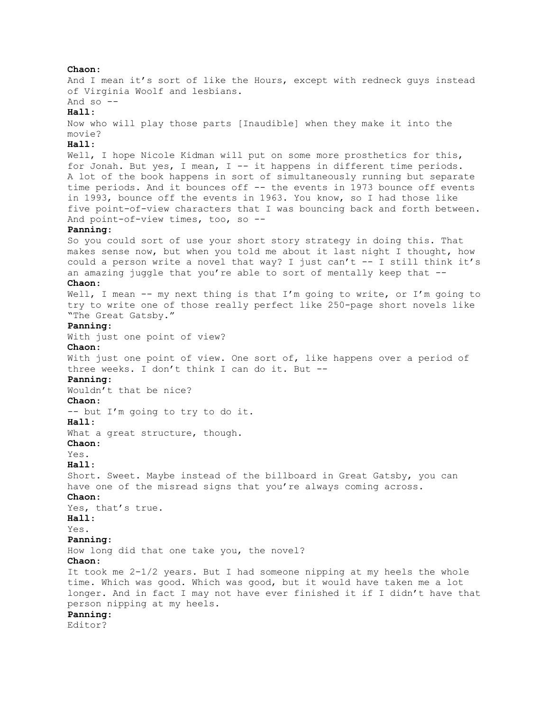**Chaon**: And I mean it's sort of like the Hours, except with redneck guys instead of Virginia Woolf and lesbians. And so  $-$ **Hall**: Now who will play those parts [Inaudible] when they make it into the movie? **Hall**: Well, I hope Nicole Kidman will put on some more prosthetics for this, for Jonah. But yes, I mean, I -- it happens in different time periods. A lot of the book happens in sort of simultaneously running but separate time periods. And it bounces off -- the events in 1973 bounce off events in 1993, bounce off the events in 1963. You know, so I had those like five point-of-view characters that I was bouncing back and forth between. And point-of-view times, too, so -- **Panning**: So you could sort of use your short story strategy in doing this. That makes sense now, but when you told me about it last night I thought, how could a person write a novel that way? I just can't -- I still think it's an amazing juggle that you're able to sort of mentally keep that -- **Chaon**: Well, I mean -- my next thing is that I'm going to write, or I'm going to try to write one of those really perfect like 250-page short novels like "The Great Gatsby." **Panning**: With just one point of view? **Chaon**: With just one point of view. One sort of, like happens over a period of three weeks. I don't think I can do it. But -- **Panning**: Wouldn't that be nice? **Chaon**: -- but I'm going to try to do it. **Hall**: What a great structure, though. **Chaon**:  $Y \cap S$ **Hall**: Short. Sweet. Maybe instead of the billboard in Great Gatsby, you can have one of the misread signs that you're always coming across. **Chaon**: Yes, that's true. **Hall**: Yes. **Panning**: How long did that one take you, the novel? **Chaon**: It took me 2-1/2 years. But I had someone nipping at my heels the whole time. Which was good. Which was good, but it would have taken me a lot longer. And in fact I may not have ever finished it if I didn't have that person nipping at my heels. **Panning**: Editor?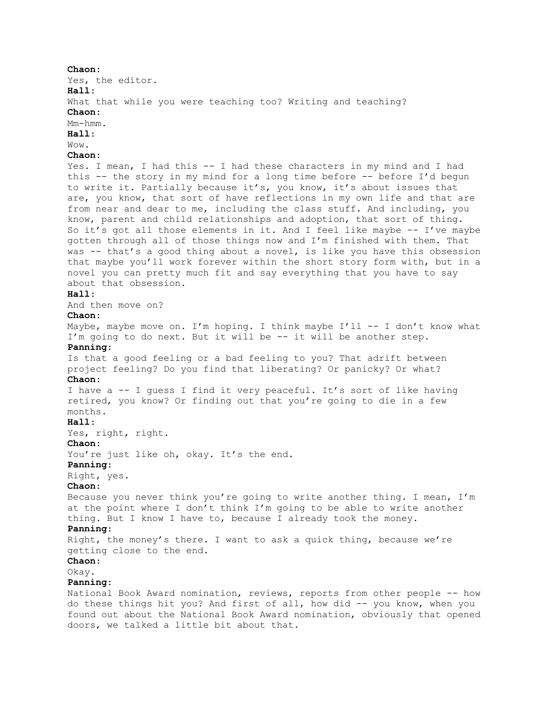## **Chaon**:

Yes, the editor.

**Hall**:

What that while you were teaching too? Writing and teaching?

**Chaon**:

Mm-hmm.

**Hall**:

# Wow.

**Chaon**:

Yes. I mean, I had this -- I had these characters in my mind and I had this -- the story in my mind for a long time before -- before I'd begun to write it. Partially because it's, you know, it's about issues that are, you know, that sort of have reflections in my own life and that are from near and dear to me, including the class stuff. And including, you know, parent and child relationships and adoption, that sort of thing. So it's got all those elements in it. And I feel like maybe -- I've maybe gotten through all of those things now and I'm finished with them. That was -- that's a good thing about a novel, is like you have this obsession that maybe you'll work forever within the short story form with, but in a novel you can pretty much fit and say everything that you have to say about that obsession.

#### **Hall**:

And then move on?

# **Chaon**:

Maybe, maybe move on. I'm hoping. I think maybe I'll  $-$ - I don't know what I'm going to do next. But it will be -- it will be another step. **Panning**: Is that a good feeling or a bad feeling to you? That adrift between project feeling? Do you find that liberating? Or panicky? Or what? **Chaon**: I have a -- I guess I find it very peaceful. It's sort of like having retired, you know? Or finding out that you're going to die in a few months. **Hall**: Yes, right, right. **Chaon**: You're just like oh, okay. It's the end. **Panning**: Right, yes. **Chaon**: Because you never think you're going to write another thing. I mean, I'm at the point where I don't think I'm going to be able to write another thing. But I know I have to, because I already took the money. **Panning**: Right, the money's there. I want to ask a quick thing, because we're getting close to the end. **Chaon**: Okay. **Panning**: National Book Award nomination, reviews, reports from other people -- how do these things hit you? And first of all, how did -- you know, when you

found out about the National Book Award nomination, obviously that opened doors, we talked a little bit about that.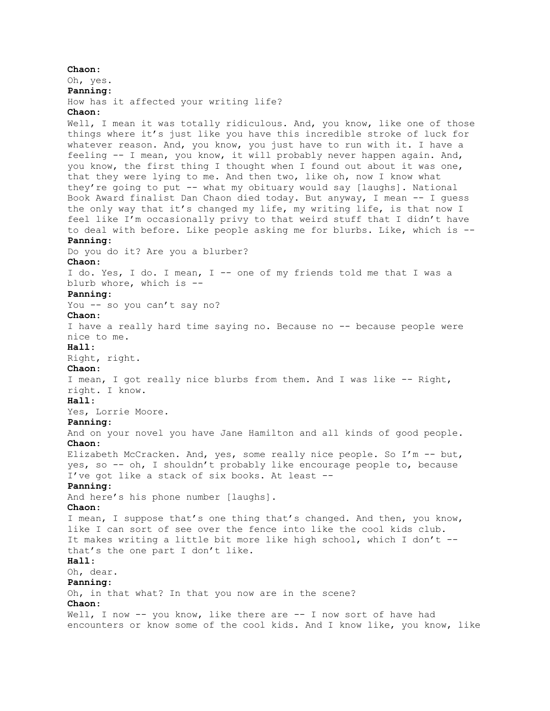**Chaon**: Oh, yes. **Panning**: How has it affected your writing life? **Chaon**: Well, I mean it was totally ridiculous. And, you know, like one of those things where it's just like you have this incredible stroke of luck for whatever reason. And, you know, you just have to run with it. I have a feeling -- I mean, you know, it will probably never happen again. And, you know, the first thing I thought when I found out about it was one, that they were lying to me. And then two, like oh, now I know what they're going to put -- what my obituary would say [laughs]. National Book Award finalist Dan Chaon died today. But anyway, I mean -- I guess the only way that it's changed my life, my writing life, is that now I feel like I'm occasionally privy to that weird stuff that I didn't have to deal with before. Like people asking me for blurbs. Like, which is -- **Panning**: Do you do it? Are you a blurber? **Chaon**: I do. Yes, I do. I mean, I -- one of my friends told me that I was a blurb whore, which is -- **Panning**: You -- so you can't say no? **Chaon**: I have a really hard time saying no. Because no -- because people were nice to me. **Hall**: Right, right. **Chaon**: I mean, I got really nice blurbs from them. And I was like -- Right, right. I know. **Hall**: Yes, Lorrie Moore. **Panning**: And on your novel you have Jane Hamilton and all kinds of good people. **Chaon**: Elizabeth McCracken. And, yes, some really nice people. So I'm -- but, yes, so -- oh, I shouldn't probably like encourage people to, because I've got like a stack of six books. At least -- **Panning**: And here's his phone number [laughs]. **Chaon**: I mean, I suppose that's one thing that's changed. And then, you know, like I can sort of see over the fence into like the cool kids club. It makes writing a little bit more like high school, which I don't - that's the one part I don't like. **Hall**: Oh, dear. **Panning**: Oh, in that what? In that you now are in the scene? **Chaon**: Well, I now -- you know, like there are -- I now sort of have had encounters or know some of the cool kids. And I know like, you know, like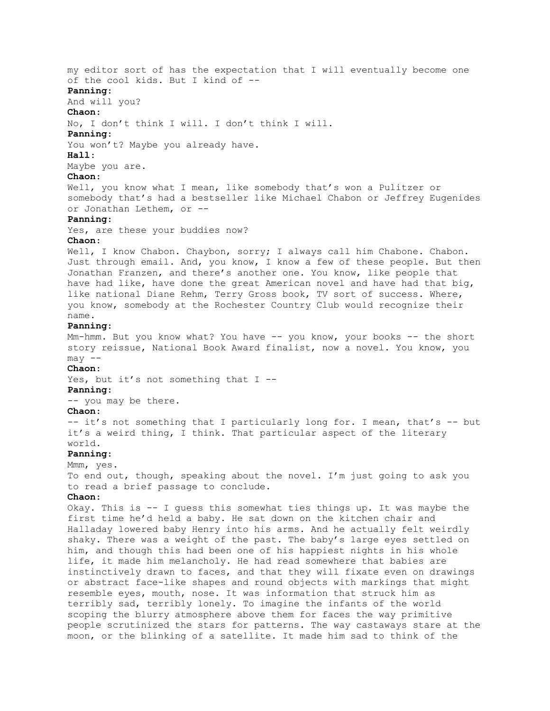my editor sort of has the expectation that I will eventually become one of the cool kids. But I kind of -- **Panning**: And will you? **Chaon**: No, I don't think I will. I don't think I will. **Panning**: You won't? Maybe you already have. **Hall**: Maybe you are. **Chaon**: Well, you know what I mean, like somebody that's won a Pulitzer or somebody that's had a bestseller like Michael Chabon or Jeffrey Eugenides or Jonathan Lethem, or -- **Panning**: Yes, are these your buddies now? **Chaon**: Well, I know Chabon. Chaybon, sorry; I always call him Chabone. Chabon. Just through email. And, you know, I know a few of these people. But then Jonathan Franzen, and there's another one. You know, like people that have had like, have done the great American novel and have had that big, like national Diane Rehm, Terry Gross book, TV sort of success. Where, you know, somebody at the Rochester Country Club would recognize their name. **Panning**: Mm-hmm. But you know what? You have -- you know, your books -- the short story reissue, National Book Award finalist, now a novel. You know, you  $may$   $--$ **Chaon**: Yes, but it's not something that I --**Panning**: -- you may be there. **Chaon**: -- it's not something that I particularly long for. I mean, that's -- but it's a weird thing, I think. That particular aspect of the literary world. **Panning**: Mmm, yes. To end out, though, speaking about the novel. I'm just going to ask you to read a brief passage to conclude. **Chaon**: Okay. This is -- I guess this somewhat ties things up. It was maybe the first time he'd held a baby. He sat down on the kitchen chair and Halladay lowered baby Henry into his arms. And he actually felt weirdly shaky. There was a weight of the past. The baby's large eyes settled on him, and though this had been one of his happiest nights in his whole life, it made him melancholy. He had read somewhere that babies are instinctively drawn to faces, and that they will fixate even on drawings or abstract face-like shapes and round objects with markings that might resemble eyes, mouth, nose. It was information that struck him as terribly sad, terribly lonely. To imagine the infants of the world scoping the blurry atmosphere above them for faces the way primitive people scrutinized the stars for patterns. The way castaways stare at the moon, or the blinking of a satellite. It made him sad to think of the